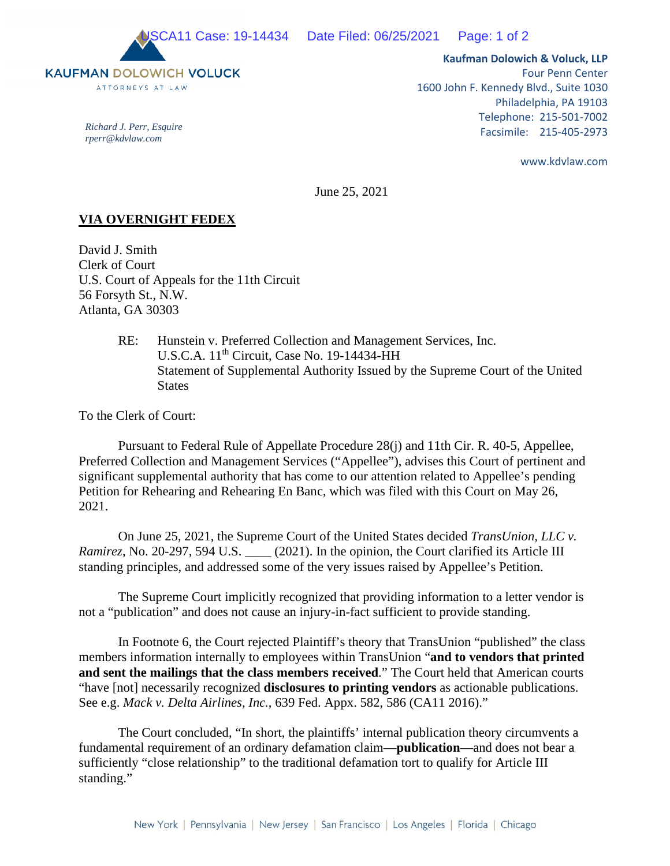

*Richard J. Perr, Esquire rperr@kdvlaw.com* 

**Kaufman Dolowich & Voluck, LLP**  Four Penn Center 1600 John F. Kennedy Blvd., Suite 1030 Philadelphia, PA 19103 Telephone: 215-501-7002 Facsimile: 215-405-2973

www.kdvlaw.com

June 25, 2021

## **VIA OVERNIGHT FEDEX**

David J. Smith Clerk of Court U.S. Court of Appeals for the 11th Circuit 56 Forsyth St., N.W. Atlanta, GA 30303

> RE: Hunstein v. Preferred Collection and Management Services, Inc. U.S.C.A. 11<sup>th</sup> Circuit, Case No. 19-14434-HH Statement of Supplemental Authority Issued by the Supreme Court of the United States

To the Clerk of Court:

Pursuant to Federal Rule of Appellate Procedure 28(j) and 11th Cir. R. 40-5, Appellee, Preferred Collection and Management Services ("Appellee"), advises this Court of pertinent and significant supplemental authority that has come to our attention related to Appellee's pending Petition for Rehearing and Rehearing En Banc, which was filed with this Court on May 26, 2021.

On June 25, 2021, the Supreme Court of the United States decided *TransUnion, LLC v. Ramirez*, No. 20-297, 594 U.S. \_\_\_\_ (2021). In the opinion, the Court clarified its Article III standing principles, and addressed some of the very issues raised by Appellee's Petition.

The Supreme Court implicitly recognized that providing information to a letter vendor is not a "publication" and does not cause an injury-in-fact sufficient to provide standing.

In Footnote 6, the Court rejected Plaintiff's theory that TransUnion "published" the class members information internally to employees within TransUnion "**and to vendors that printed and sent the mailings that the class members received**." The Court held that American courts "have [not] necessarily recognized **disclosures to printing vendors** as actionable publications. See e.g. *Mack v. Delta Airlines, Inc.*, 639 Fed. Appx. 582, 586 (CA11 2016)."

The Court concluded, "In short, the plaintiffs' internal publication theory circumvents a fundamental requirement of an ordinary defamation claim—**publication**—and does not bear a sufficiently "close relationship" to the traditional defamation tort to qualify for Article III standing."